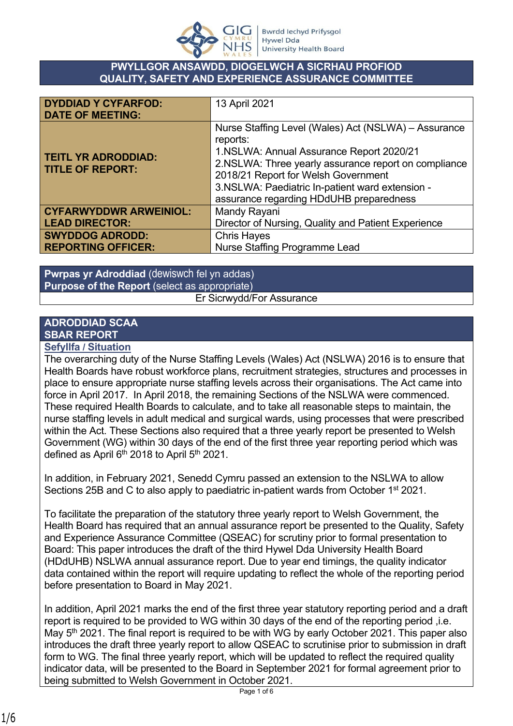

#### **PWYLLGOR ANSAWDD, DIOGELWCH A SICRHAU PROFIOD QUALITY, SAFETY AND EXPERIENCE ASSURANCE COMMITTEE**

| <b>DYDDIAD Y CYFARFOD:</b><br><b>DATE OF MEETING:</b> | 13 April 2021                                                                                                                                                                                                                                                                                             |
|-------------------------------------------------------|-----------------------------------------------------------------------------------------------------------------------------------------------------------------------------------------------------------------------------------------------------------------------------------------------------------|
| <b>TEITL YR ADRODDIAD:</b><br><b>TITLE OF REPORT:</b> | Nurse Staffing Level (Wales) Act (NSLWA) - Assurance<br>reports:<br>1.NSLWA: Annual Assurance Report 2020/21<br>2.NSLWA: Three yearly assurance report on compliance<br>2018/21 Report for Welsh Government<br>3.NSLWA: Paediatric In-patient ward extension -<br>assurance regarding HDdUHB preparedness |
| <b>CYFARWYDDWR ARWEINIOL:</b>                         | Mandy Rayani                                                                                                                                                                                                                                                                                              |
| <b>LEAD DIRECTOR:</b>                                 | Director of Nursing, Quality and Patient Experience                                                                                                                                                                                                                                                       |
| <b>SWYDDOG ADRODD:</b>                                | <b>Chris Hayes</b>                                                                                                                                                                                                                                                                                        |
| <b>REPORTING OFFICER:</b>                             | <b>Nurse Staffing Programme Lead</b>                                                                                                                                                                                                                                                                      |

**Pwrpas yr Adroddiad** (dewiswch fel yn addas) **Purpose of the Report** (select as appropriate) Er Sicrwydd/For Assurance

# **ADRODDIAD SCAA SBAR REPORT**

**Sefyllfa / Situation** 

The overarching duty of the Nurse Staffing Levels (Wales) Act (NSLWA) 2016 is to ensure that Health Boards have robust workforce plans, recruitment strategies, structures and processes in place to ensure appropriate nurse staffing levels across their organisations. The Act came into force in April 2017. In April 2018, the remaining Sections of the NSLWA were commenced. These required Health Boards to calculate, and to take all reasonable steps to maintain, the nurse staffing levels in adult medical and surgical wards, using processes that were prescribed within the Act. These Sections also required that a three yearly report be presented to Welsh Government (WG) within 30 days of the end of the first three year reporting period which was defined as April 6<sup>th</sup> 2018 to April 5<sup>th</sup> 2021.

In addition, in February 2021, Senedd Cymru passed an extension to the NSLWA to allow Sections 25B and C to also apply to paediatric in-patient wards from October 1<sup>st</sup> 2021.

To facilitate the preparation of the statutory three yearly report to Welsh Government, the Health Board has required that an annual assurance report be presented to the Quality, Safety and Experience Assurance Committee (QSEAC) for scrutiny prior to formal presentation to Board: This paper introduces the draft of the third Hywel Dda University Health Board (HDdUHB) NSLWA annual assurance report. Due to year end timings, the quality indicator data contained within the report will require updating to reflect the whole of the reporting period before presentation to Board in May 2021.

In addition, April 2021 marks the end of the first three year statutory reporting period and a draft report is required to be provided to WG within 30 days of the end of the reporting period ,i.e. May 5<sup>th</sup> 2021. The final report is required to be with WG by early October 2021. This paper also introduces the draft three yearly report to allow QSEAC to scrutinise prior to submission in draft form to WG. The final three yearly report, which will be updated to reflect the required quality indicator data, will be presented to the Board in September 2021 for formal agreement prior to being submitted to Welsh Government in October 2021.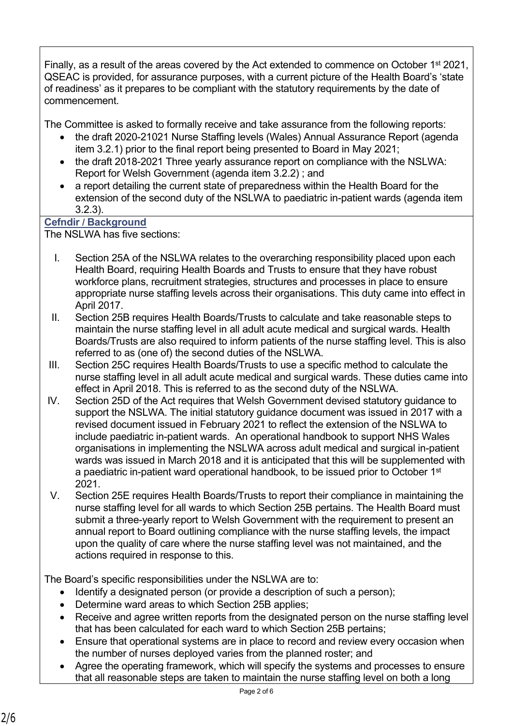Finally, as a result of the areas covered by the Act extended to commence on October 1<sup>st</sup> 2021, QSEAC is provided, for assurance purposes, with a current picture of the Health Board's 'state of readiness' as it prepares to be compliant with the statutory requirements by the date of commencement.

The Committee is asked to formally receive and take assurance from the following reports:

- the draft 2020-21021 Nurse Staffing levels (Wales) Annual Assurance Report (agenda item 3.2.1) prior to the final report being presented to Board in May 2021;
- the draft 2018-2021 Three vearly assurance report on compliance with the NSLWA: Report for Welsh Government (agenda item 3.2.2) ; and
- a report detailing the current state of preparedness within the Health Board for the extension of the second duty of the NSLWA to paediatric in-patient wards (agenda item 3.2.3).

### **Cefndir / Background**

The NSLWA has five sections:

- I. Section 25A of the NSLWA relates to the overarching responsibility placed upon each Health Board, requiring Health Boards and Trusts to ensure that they have robust workforce plans, recruitment strategies, structures and processes in place to ensure appropriate nurse staffing levels across their organisations. This duty came into effect in April 2017.
- II. Section 25B requires Health Boards/Trusts to calculate and take reasonable steps to maintain the nurse staffing level in all adult acute medical and surgical wards. Health Boards/Trusts are also required to inform patients of the nurse staffing level. This is also referred to as (one of) the second duties of the NSLWA.
- III. Section 25C requires Health Boards/Trusts to use a specific method to calculate the nurse staffing level in all adult acute medical and surgical wards. These duties came into effect in April 2018. This is referred to as the second duty of the NSLWA.
- IV. Section 25D of the Act requires that Welsh Government devised statutory guidance to support the NSLWA. The initial statutory guidance document was issued in 2017 with a revised document issued in February 2021 to reflect the extension of the NSLWA to include paediatric in-patient wards. An operational handbook to support NHS Wales organisations in implementing the NSLWA across adult medical and surgical in-patient wards was issued in March 2018 and it is anticipated that this will be supplemented with a paediatric in-patient ward operational handbook, to be issued prior to October 1st 2021.
- V. Section 25E requires Health Boards/Trusts to report their compliance in maintaining the nurse staffing level for all wards to which Section 25B pertains. The Health Board must submit a three-yearly report to Welsh Government with the requirement to present an annual report to Board outlining compliance with the nurse staffing levels, the impact upon the quality of care where the nurse staffing level was not maintained, and the actions required in response to this.

The Board's specific responsibilities under the NSLWA are to:

- Identify a designated person (or provide a description of such a person);
- Determine ward areas to which Section 25B applies:
- Receive and agree written reports from the designated person on the nurse staffing level that has been calculated for each ward to which Section 25B pertains;
- Ensure that operational systems are in place to record and review every occasion when the number of nurses deployed varies from the planned roster; and
- Agree the operating framework, which will specify the systems and processes to ensure that all reasonable steps are taken to maintain the nurse staffing level on both a long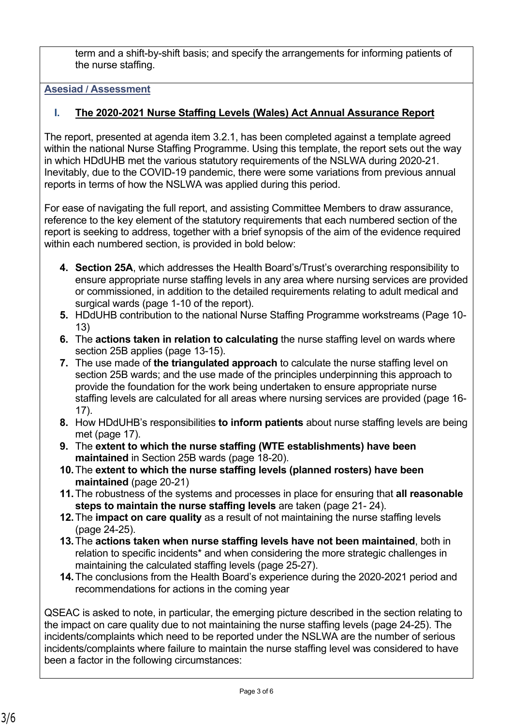term and a shift-by-shift basis; and specify the arrangements for informing patients of the nurse staffing.

**Asesiad / Assessment**

## **I. The 2020-2021 Nurse Staffing Levels (Wales) Act Annual Assurance Report**

The report, presented at agenda item 3.2.1, has been completed against a template agreed within the national Nurse Staffing Programme. Using this template, the report sets out the way in which HDdUHB met the various statutory requirements of the NSLWA during 2020-21. Inevitably, due to the COVID-19 pandemic, there were some variations from previous annual reports in terms of how the NSLWA was applied during this period.

For ease of navigating the full report, and assisting Committee Members to draw assurance, reference to the key element of the statutory requirements that each numbered section of the report is seeking to address, together with a brief synopsis of the aim of the evidence required within each numbered section, is provided in bold below:

- **4. Section 25A**, which addresses the Health Board's/Trust's overarching responsibility to ensure appropriate nurse staffing levels in any area where nursing services are provided or commissioned, in addition to the detailed requirements relating to adult medical and surgical wards (page 1-10 of the report).
- **5.** HDdUHB contribution to the national Nurse Staffing Programme workstreams (Page 10- 13)
- **6.** The **actions taken in relation to calculating** the nurse staffing level on wards where section 25B applies (page 13-15).
- **7.** The use made of **the triangulated approach** to calculate the nurse staffing level on section 25B wards; and the use made of the principles underpinning this approach to provide the foundation for the work being undertaken to ensure appropriate nurse staffing levels are calculated for all areas where nursing services are provided (page 16- 17).
- **8.** How HDdUHB's responsibilities **to inform patients** about nurse staffing levels are being met (page 17).
- **9.** The **extent to which the nurse staffing (WTE establishments) have been maintained** in Section 25B wards (page 18-20).
- **10.**The **extent to which the nurse staffing levels (planned rosters) have been maintained** (page 20-21)
- **11.**The robustness of the systems and processes in place for ensuring that **all reasonable steps to maintain the nurse staffing levels** are taken (page 21- 24).
- **12.**The **impact on care quality** as a result of not maintaining the nurse staffing levels (page 24-25).
- **13.**The **actions taken when nurse staffing levels have not been maintained**, both in relation to specific incidents\* and when considering the more strategic challenges in maintaining the calculated staffing levels (page 25-27).
- **14.**The conclusions from the Health Board's experience during the 2020-2021 period and recommendations for actions in the coming year

QSEAC is asked to note, in particular, the emerging picture described in the section relating to the impact on care quality due to not maintaining the nurse staffing levels (page 24-25). The incidents/complaints which need to be reported under the NSLWA are the number of serious incidents/complaints where failure to maintain the nurse staffing level was considered to have been a factor in the following circumstances: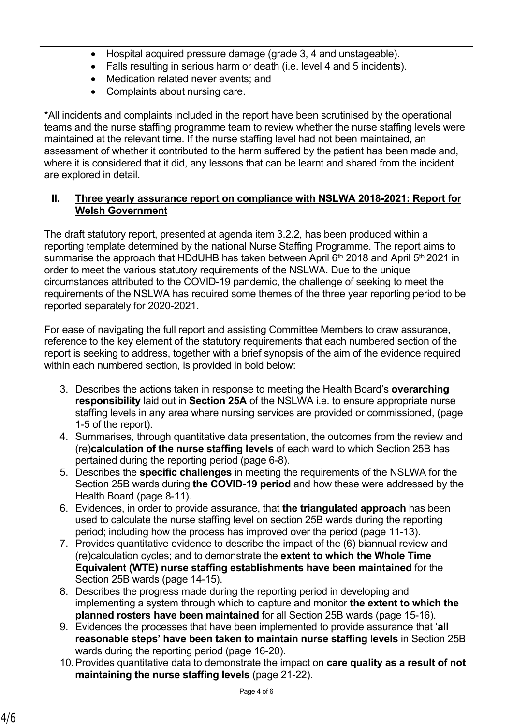- Hospital acquired pressure damage (grade 3, 4 and unstageable).
- Falls resulting in serious harm or death (i.e. level 4 and 5 incidents).
- Medication related never events; and
- Complaints about nursing care.

\*All incidents and complaints included in the report have been scrutinised by the operational teams and the nurse staffing programme team to review whether the nurse staffing levels were maintained at the relevant time. If the nurse staffing level had not been maintained, an assessment of whether it contributed to the harm suffered by the patient has been made and, where it is considered that it did, any lessons that can be learnt and shared from the incident are explored in detail.

#### **II. Three yearly assurance report on compliance with NSLWA 2018-2021: Report for Welsh Government**

The draft statutory report, presented at agenda item 3.2.2, has been produced within a reporting template determined by the national Nurse Staffing Programme. The report aims to summarise the approach that HDdUHB has taken between April  $6<sup>th</sup>$  2018 and April  $5<sup>th</sup>$  2021 in order to meet the various statutory requirements of the NSLWA. Due to the unique circumstances attributed to the COVID-19 pandemic, the challenge of seeking to meet the requirements of the NSLWA has required some themes of the three year reporting period to be reported separately for 2020-2021.

For ease of navigating the full report and assisting Committee Members to draw assurance, reference to the key element of the statutory requirements that each numbered section of the report is seeking to address, together with a brief synopsis of the aim of the evidence required within each numbered section, is provided in bold below:

- 3. Describes the actions taken in response to meeting the Health Board's **overarching responsibility** laid out in **Section 25A** of the NSLWA i.e. to ensure appropriate nurse staffing levels in any area where nursing services are provided or commissioned, (page 1-5 of the report).
- 4. Summarises, through quantitative data presentation, the outcomes from the review and (re)**calculation of the nurse staffing levels** of each ward to which Section 25B has pertained during the reporting period (page 6-8).
- 5. Describes the **specific challenges** in meeting the requirements of the NSLWA for the Section 25B wards during **the COVID-19 period** and how these were addressed by the Health Board (page 8-11).
- 6. Evidences, in order to provide assurance, that **the triangulated approach** has been used to calculate the nurse staffing level on section 25B wards during the reporting period; including how the process has improved over the period (page 11-13).
- 7. Provides quantitative evidence to describe the impact of the (6) biannual review and (re)calculation cycles; and to demonstrate the **extent to which the Whole Time Equivalent (WTE) nurse staffing establishments have been maintained** for the Section 25B wards (page 14-15).
- 8. Describes the progress made during the reporting period in developing and implementing a system through which to capture and monitor **the extent to which the planned rosters have been maintained** for all Section 25B wards (page 15-16).
- 9. Evidences the processes that have been implemented to provide assurance that '**all reasonable steps' have been taken to maintain nurse staffing levels** in Section 25B wards during the reporting period (page 16-20).
- 10.Provides quantitative data to demonstrate the impact on **care quality as a result of not maintaining the nurse staffing levels** (page 21-22).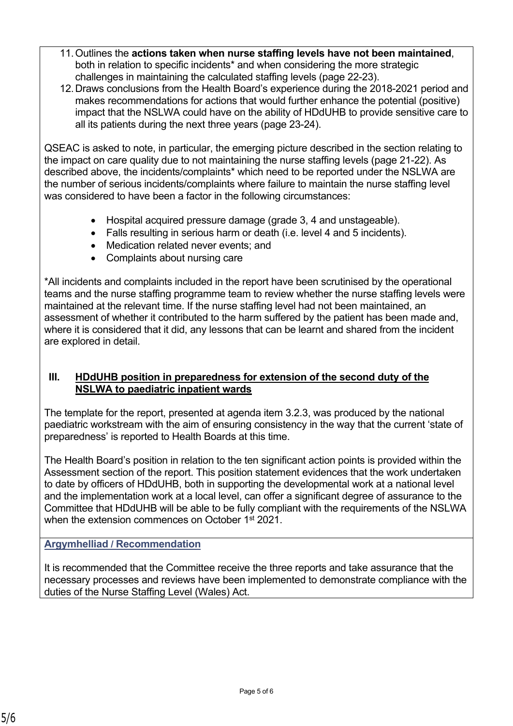- 11.Outlines the **actions taken when nurse staffing levels have not been maintained**, both in relation to specific incidents\* and when considering the more strategic challenges in maintaining the calculated staffing levels (page 22-23).
- 12.Draws conclusions from the Health Board's experience during the 2018-2021 period and makes recommendations for actions that would further enhance the potential (positive) impact that the NSLWA could have on the ability of HDdUHB to provide sensitive care to all its patients during the next three years (page 23-24).

QSEAC is asked to note, in particular, the emerging picture described in the section relating to the impact on care quality due to not maintaining the nurse staffing levels (page 21-22). As described above, the incidents/complaints\* which need to be reported under the NSLWA are the number of serious incidents/complaints where failure to maintain the nurse staffing level was considered to have been a factor in the following circumstances:

- Hospital acquired pressure damage (grade 3, 4 and unstageable).
- Falls resulting in serious harm or death (i.e. level 4 and 5 incidents).
- Medication related never events; and
- Complaints about nursing care

\*All incidents and complaints included in the report have been scrutinised by the operational teams and the nurse staffing programme team to review whether the nurse staffing levels were maintained at the relevant time. If the nurse staffing level had not been maintained, an assessment of whether it contributed to the harm suffered by the patient has been made and, where it is considered that it did, any lessons that can be learnt and shared from the incident are explored in detail.

#### **III. HDdUHB position in preparedness for extension of the second duty of the NSLWA to paediatric inpatient wards**

The template for the report, presented at agenda item 3.2.3, was produced by the national paediatric workstream with the aim of ensuring consistency in the way that the current 'state of preparedness' is reported to Health Boards at this time.

The Health Board's position in relation to the ten significant action points is provided within the Assessment section of the report. This position statement evidences that the work undertaken to date by officers of HDdUHB, both in supporting the developmental work at a national level and the implementation work at a local level, can offer a significant degree of assurance to the Committee that HDdUHB will be able to be fully compliant with the requirements of the NSLWA when the extension commences on October 1<sup>st</sup> 2021.

### **Argymhelliad / Recommendation**

It is recommended that the Committee receive the three reports and take assurance that the necessary processes and reviews have been implemented to demonstrate compliance with the duties of the Nurse Staffing Level (Wales) Act.